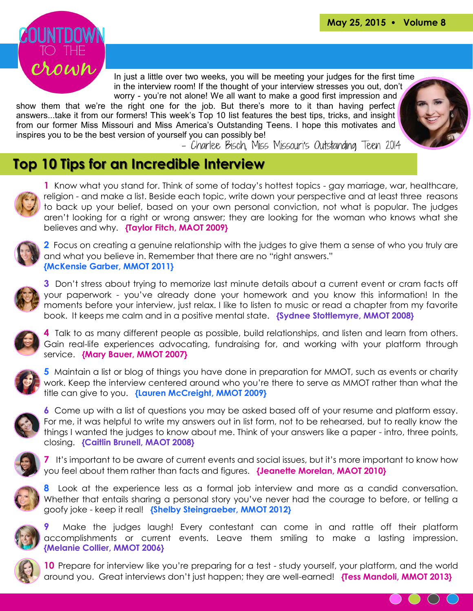

In just a little over two weeks, you will be meeting your judges for the first time in the interview room! If the thought of your interview stresses you out, don't worry - you're not alone! We all want to make a good first impression and

show them that we're the right one for the job. But there's more to it than having perfect answers...take it from our formers! This week's Top 10 list features the best tips, tricks, and insight from our former Miss Missouri and Miss America's Outstanding Teens. I hope this motivates and inspires you to be the best version of yourself you can possibly be!<br>2014 – Charlee Bisch, Miss Missouri's Outstanding Teen 2014



## **Top 10 Tips for an Incredible Interview**



**1** Know what you stand for. Think of some of today's hottest topics - gay marriage, war, healthcare, religion - and make a list. Beside each topic, write down your perspective and at least three reasons to back up your belief, based on your own personal conviction, not what is popular. The judges aren't looking for a right or wrong answer; they are looking for the woman who knows what she believes and why. **{Taylor Fitch, MAOT 2009}**



**2** Focus on creating a genuine relationship with the judges to give them a sense of who you truly are and what you believe in. Remember that there are no "right answers." **{McKensie Garber, MMOT 2011}**



**3** Don't stress about trying to memorize last minute details about a current event or cram facts off your paperwork - you've already done your homework and you know this information! In the moments before your interview, just relax. I like to listen to music or read a chapter from my favorite book. It keeps me calm and in a positive mental state. **{Sydnee Stottlemyre, MMOT 2008}**



**4** Talk to as many different people as possible, build relationships, and listen and learn from others. Gain real-life experiences advocating, fundraising for, and working with your platform through service. **{Mary Bauer, MMOT 2007}**



**5** Maintain a list or blog of things you have done in preparation for MMOT, such as events or charity work. Keep the interview centered around who you're there to serve as MMOT rather than what the title can give to you. **{Lauren McCreight, MMOT 2009}**



**6** Come up with a list of questions you may be asked based off of your resume and platform essay. For me, it was helpful to write my answers out in list form, not to be rehearsed, but to really know the things I wanted the judges to know about me. Think of your answers like a paper - intro, three points, closing. **{Caitlin Brunell, MAOT 2008}**



**7** It's important to be aware of current events and social issues, but it's more important to know how you feel about them rather than facts and figures. **{Jeanette Morelan, MAOT 2010}**



**8** Look at the experience less as a formal job interview and more as a candid conversation. Whether that entails sharing a personal story you've never had the courage to before, or telling a goofy joke - keep it real! **{Shelby Steingraeber, MMOT 2012}**



**9** Make the judges laugh! Every contestant can come in and rattle off their platform accomplishments or current events. Leave them smiling to make a lasting impression. **{Melanie Collier, MMOT 2006}**



**10** Prepare for interview like you're preparing for a test - study yourself, your platform, and the world around you. Great interviews don't just happen; they are well-earned! **{Tess Mandoli, MMOT 2013}**